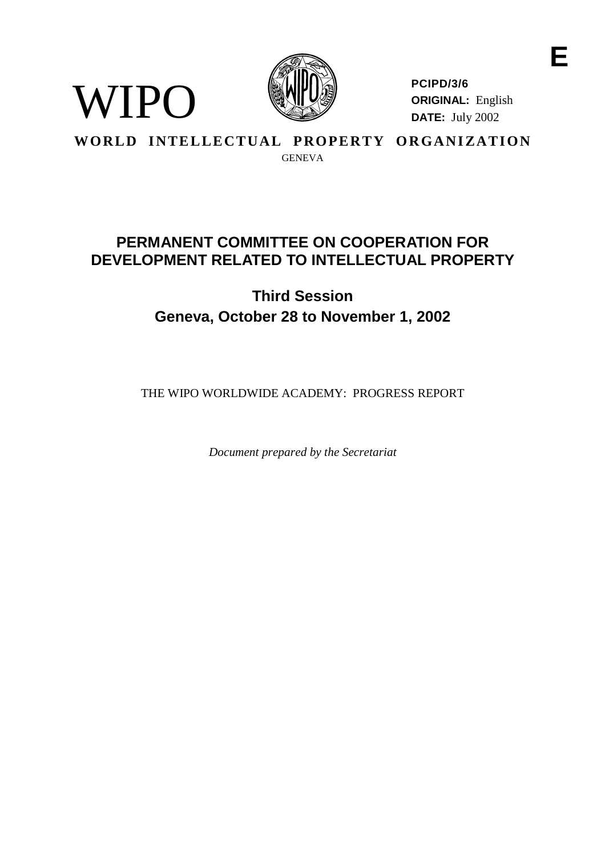

**PCIPD/3/6 ORIGINAL:** English **DATE:** July 2002

# **WORLD INTELLECTUAL PROPERTY ORGANIZATION** GENEVA

WIPO

# **PERMANENTCOMMITTEE ONCOOPERATIONFOR DEVELOPMENTRELATED TOINTELLECTUALPROP ERTY**

# **Third Session Geneva, October 28 to November 1, 2002**

THEWIPO WORLDWIDEACADEMY: PROGRESSREPORT

*Document prepared by the Secretariat*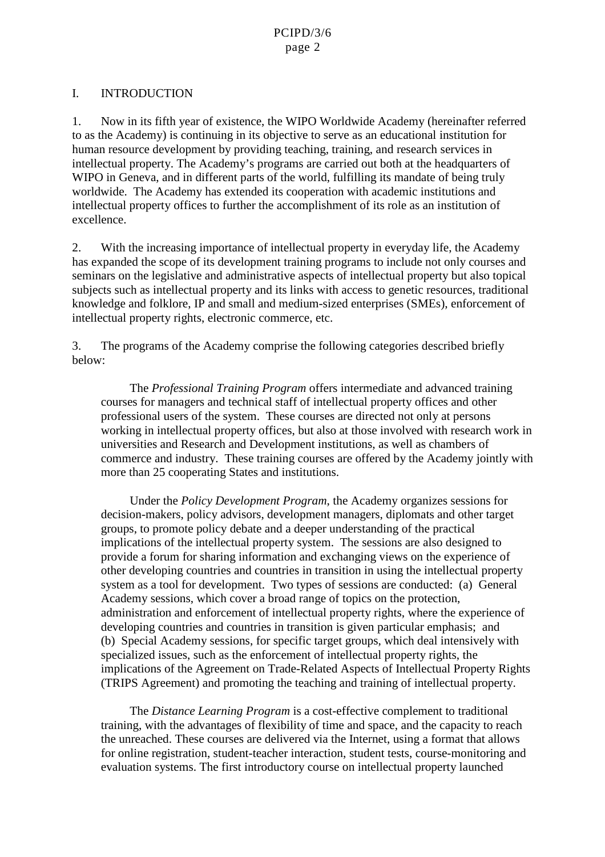## I. INTRODUCTION

1. Now in its fifth year of existence, the WIPO Worldwide Academy (hereinafter referred to as the Academy) is continuing in its objective to serve as a n educational institution for human resource development by providing teaching, training, and research services in intellectual property. The Academy's programs are carried out both at the headquarters of WIPO in Geneva, and indifferent parts of the world fulfilling its mandate of being truly worldwide. The Academy has extended its cooperation with academic institutions and intellectual property offices to further the accomplishment of its role as an institution of excellence.

2. With the inc reasing importance of intellectual property inevery day life, the Academy has expanded the scope of its development training programs to include not only courses and seminars on the legislative and administrative aspects of intellectual property but also topical subjects such as intellectual property and its links with access to genetic resources, traditional knowledge and folklore, IP and small and medium-<br>sized enterprises (SMEs), enforcement of intellectual property rights, electronic commerce, etc.

3. The programs of the Academy comprise the following categories described briefly below:

The *Professional Training Program* offers intermediate and advanced training courses for managers and technical staff of intellectual property offices and other professional users of the system. These courses are directed not only at persons working in intellectual property offices, but also at those involved with research work in universities and Research and Development institutions, as well as chambers of commerce and industry. These training courses are offered by the Academy jointly with more than 25 cooperating States and institutions.

Underthe *PolicyDevelopmentProgram*, the Academy organizes sessions for decision-makers, policy advisors, development managers, diplomats and other target groups, to promote policy debate and a deeper understanding of the practical implications of the intellectual property system. These ssions are also designed to provide a forum for sharing information and exchanging v iews on the experience of other developing countries and countries in transition in using the intellectual property system as a tool for development. Two types of sessions are conducted: (a) General Academy sessions, which cover a broad range of topics on the protection, administration and enforcement of intellectual property rights, where the experience of developing countries and countries in transition is given particular emphasis; and (b) Special Academy sessions, for specific target groups, which deal intensively with specialized issues, such as the enforcement of intellectual property rights, the implications of the Agreement on Trade -Related Aspects of Intellectual Property Rights (TRIPS Agreement) and promoting the teaching and training of intel lectual property.

The *Distance Learning Program* is a cost-effective complement to traditional training, with the advantages of flexibility of time and space, and the capacity to reach the unreached. These courses are delivered via the Internet, using a f ormat that allows for online registration, student- teacher interaction, student tests, course -monitoring and evaluation systems. The first introductory course on intellectual property launched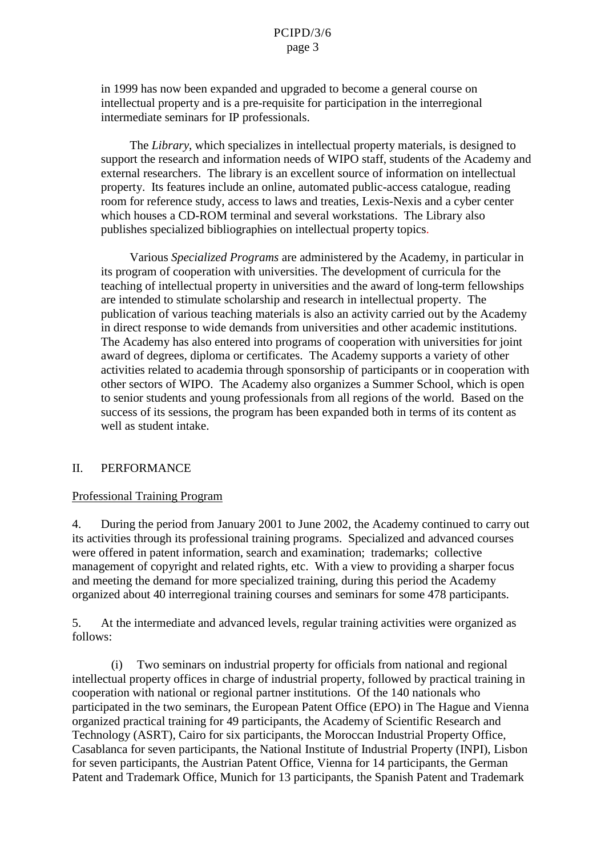in 1999 has now been expanded and upgraded to become a general course on intellectual property and is a pre-requisite for participation in the interregional intermediateseminars for IP professionals.

The *Library*, which specializes in intellectual property materials, is designed to support the research and informatio nneeds of WIPO staff, students of the Academy and external researchers. The library is an excellent source of information on intellectual property. Its features include an online, automated public -access catalogue, reading room for reference study, acce sstolaws and treaties, Lexis -Nexis and a cyber center which houses a CD -ROM terminal and several workstations. The Library also publishes specialized bibliographies on intellectual property topics

Various *Specialized Programs* are administered by the A cademy, in particular in its program of cooperation with universities. The development of curricula for the teaching of intellectual property in universities and the award of long term fellowships are intended to stimulate scholarship and research in intel lectual property. The publication of various teaching materials is also an activity carried out by the Academy indirect response to wide demands from universities and other academic institutions. The Academy has also entered into programs of cooperation with universities for joint award of degrees, diploma or certificates. The Academy supports a variety of other activities related to academia through sponsorship of participants or incooperation with other sectors of WIPO. The Academy also organizes a Summer School, which is open to senior students and young professionals from all regions of the world. Based on the success of its sessions, the program has been expanded both in terms of its content as wellasstudent intake.

#### II. PERFORMANCE

#### Professional Training Program

4. During the period from January 2001 to June 2002, the Academy continued to carry out its activities through its professional training programs. Specialized and advanced courses were offered in patent information, search and examination; trademarks; collective management of copyright and related rights, etc. With a view to providing a sharper focus and meeting the demand for more specialized training, during this period the Academy organized about 40 interregional train ingcourses and seminars for some 478 participants.

5. At the intermediate and advanced levels, regular training activities were organized as follows:

(i) Two seminars on industrial property for officials from national and regional intellectual property of fices incharge of industrial property, followed by practical training in cooperation with national or regional partner institutions. Of the 140 nationals who participated in the two seminars, the European Patent Office (EPO) in The Hague an d Vienna organized practical training for 49 participants, the Academy of Scientific Research and Technology (ASRT), Cairo for six participants, the Moroccan Industrial Property Office, Casablanca for seven participants, the National Institute of Industria l Property (INPI), Lisbon for seven participants, the Austrian Patent Office, Vienna for 14 participants, the German Patent and Trademark Office, Munich for 13 participants, the Spanish Patent and Trademark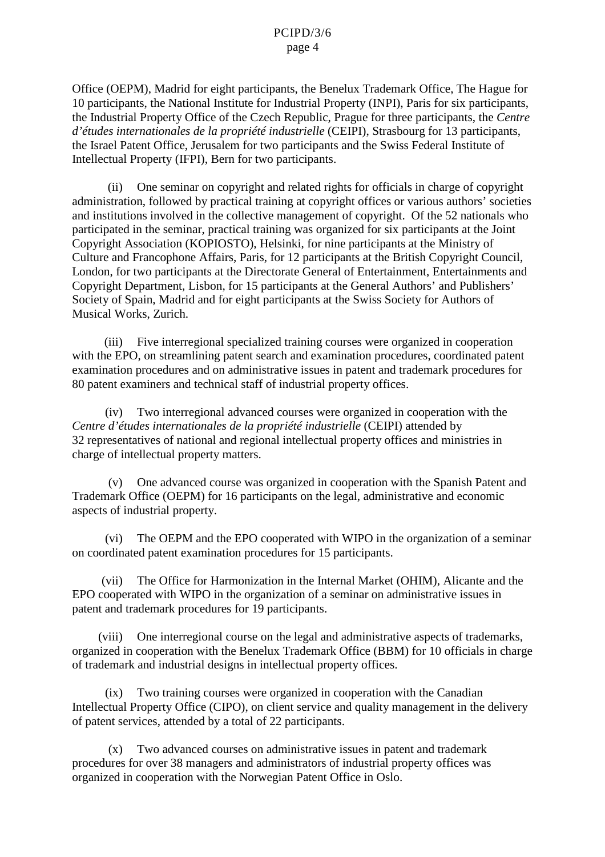Office (OEPM), Madrid for eight participants, the Benelux Trademark Office, The Hague for 10 participants, the National Institute for Industrial Property (INPI), Paris for six participants, the Industrial Property Office of the Czech Republic, Prague for three participants, the *Centre*  d'études internatio nales de la propriété industrielle (CEIPI), Strasbourg for 13 participants, the Israel Patent Office, Jerusalem for two participants and the Swiss Federal Institute of Intellectual Property (IFPI), Bernfortwo participants.

(ii) One seminar on copyrigh tand related rights for official sincharge of copyright administration, followed by practical training at copyright offices or various authors' societies and institutions involved in the collective management of copyright. Of the 52 nationals who participated in the seminar, practical training was organized for six participants at the Joint Copyright Association (KOPIOSTO), Helsinki, for nine participants at the Ministry of Culture and Francophone Affairs, Paris, for 12 participants at the British Copyri ght Council, London, for two participants at the Directorate General of Entertainment, Entertainments and Copyright Department, Lisbon, for 15 participants at the General Authors' and Publishers' Society of Spain, Madrid and for eight participants at the S wiss Society for Authors of Musical Works, Zurich.

(iii) Five interregional specialized training courses we recognized in cooperation with the EPO, on streamlining patents earch and examination procedures, coordinated patent examination procedures and o nadministrative issues in patent and trademark procedures for 80 patent examiners and technical staff of industrial property offices.

(iv) Two interregional advanced courses were organized in cooperation with the *Centre d'études internationales de la pr opriété industrielle* (CEIPI) attended by 32 representatives of national and regional intellectual property of fices and ministries in charge of intellectual property matters.

(v) One advanced course was organized in cooperation with the Spanish Patent and Trademark Office (OEPM) for 16 participants on the legal, administrative and economic aspects of industrial property.

(vi) The OEPM and the EPO cooperated with WIPO in the organization of a seminar on coordinated patent examination procedures for 15 pa rticipants.

(vii) The Office for Harmonization in the Internal Market (OHIM), Alicante and the EPO cooperated with WIPO in the organization of a seminar on administrative issues in patent and trademark procedures for 19 participants.

(viii) One interre gional course on the legal and administrative aspects of trademarks, organized in cooperation with the Benelux Trademark Office (BBM) for 10 officials in charge oftrademark and industrial designs in intellectual property offices.

(ix) Two training cours esser recorganized in cooperation with the Canadian Intellectual Property Office (CIPO), on clients ervice and quality management in the delivery of patents ervices, attended by a total of 22 participants.

(x) Two advanced courses on administrative issues in patent and trademark procedures for over 38 managers and administrators of industrial property offices was organized in cooperation with the Norwegian Patent Office in Oslo.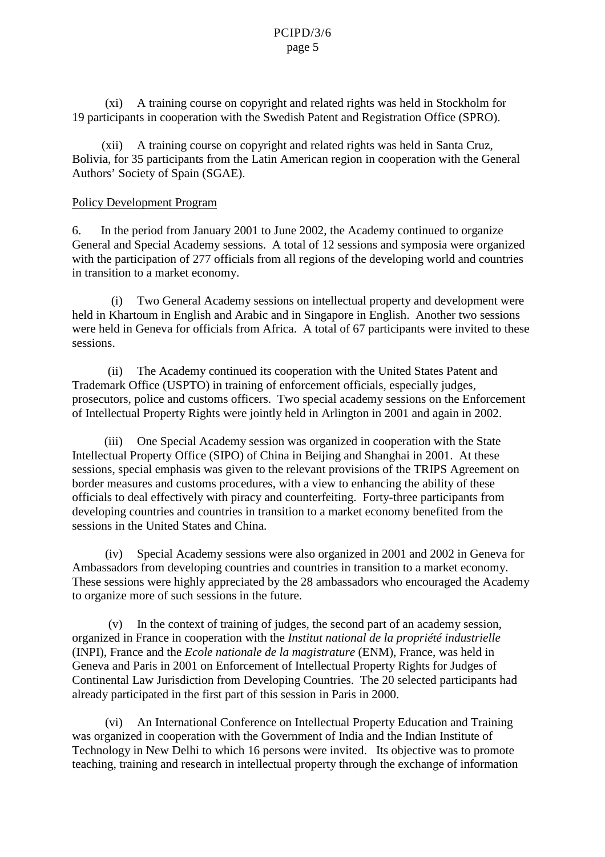(xi) Atraining course on copyright and related rights was held in Stockholm for 19 participants in cooperation with the Swedish Patent and Registration Office (SPRO).

(xii) A training course on copyright and related rights was held in Santa Cruz, Bolivia, for 35 participants from the Latin American region in cooperation with the General Authors' Society of Spain (SGAE).

#### Policy Development Program

6. In the period from January 2001 to June 2002, the Academy continued to organize General and Special Academy sessions. A total of 12 sessions and symposia were organized with the participation of 277 officials from all regions of the developing world and countries intransition to a market economy.

(i) Two General Academy sessions on intellectual property and development were heldin Khartoum in English and Arabic and in Singapore in English. Another two sessions wereheldin Geneva for officials from Africa. A total of 67 participants were invited to these sessions.

(ii) The Academy continue dits cooperation with the United States Patent and Trademark Office (USPTO) intraining of enforcement officials, especially judges, prosecutors, police and customs officers. Two special academy sessions on the Enforcement of Intellectual Property Rights were jointly held in Arlington in 2001 and again in 2002.

(iii) One Special Academy session was organized in cooperation with the State Intellectual Property Office (SIPO) of Chinain Beijing and Shanghai in 2001. At these sessions, special emphasis was given to the relevant provisions of the TRIPS Agreement on border measures and customs procedures, with a view to enhancing the ability of these officials to deal effectively with piracy and counterfeiting. Forty -three participants from developing countries and countries in transition to a marketeconomy benefited from the sessions in the United States and China.

(iv) Special Academy sessions were also organized in 2001 and 2002 in Geneva for Ambassadors from developing countries and countries in transition to a markete conomy. These sessions were highly appreciated by the 28 ambassadors who encouraged the Academy to organize more of such sessions in the future.

(v) In the context of training of judges, the second part of an academy session, organized in France in cooperation with the *Institut national de la propriété indust rielle* (INPI), France and the *Ecole nationale de la magistrature* (ENM), France, was held in Geneva and Paris in 2001 on Enforcement of Intellectual Property Rights for Judges of Continental Law Jurisdiction from Developing Countries. The 20 selected parti cipants had already participated in the first part of this session in Paris in 2000.

(vi) An International Conference on Intellectual Property Education and Training was organized in cooperation with the Government of India and the Indian Institute of Technology in New Delhi to which 16 persons we reinvited. Its objective was to promote teaching, training and research in intellectual property through the exchange of information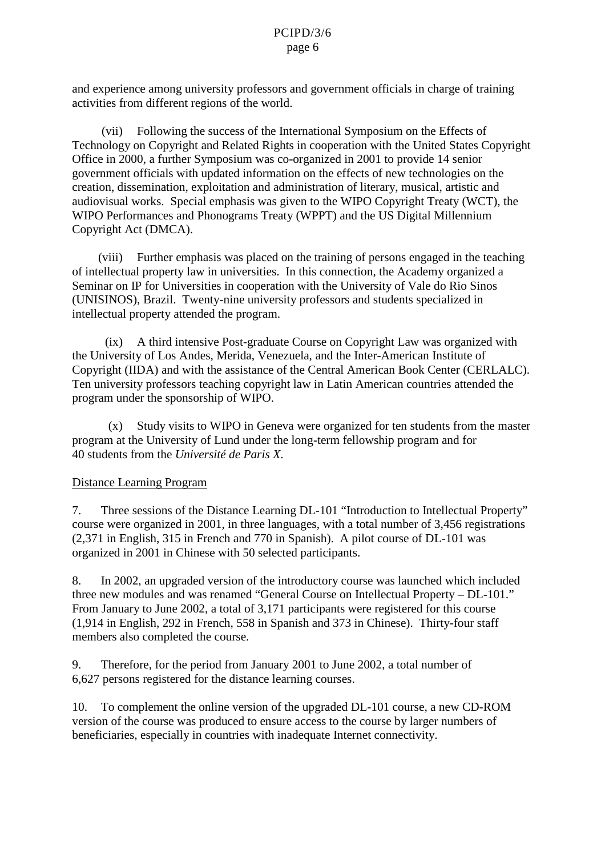and experience among university professors and government of ficials in charge of training activities from different regions of the world.

(vii) Following the success of the International Symposium on the Effects of Technology on Copyright and Related Rights in cooperation with the United States Copyright Office in 2000, a furth er Symposium was co -organized in 2001 to provide 14 senior government of ficials with updated information on the effects of new technologies on the creation, dissemination, exploitation and administration of literary, musical, artistic and audiovisual works . Special emphasis was given to the WIPO Copyright Treaty (WCT), the WIPOPerformances and Phonograms Treaty (WPPT) and the USD igital Millennium CopyrightAct(DMCA).

(viii) Furtheremphasis was placed on the training of persons engaged in the teaching of intellectual property law in universities. In this connection, the Academy organized a Seminaron IP for Universities in cooperation with the University of Valedo Rio Sinos (UNISINOS), Brazil. Twenty -nine university professors and students specializ ed in intellectual property attended the program.

 $(ix)$  A third intensive Post -graduate Course on Copyright Law was organized with the University of Los Andes, Merida, Venezuela, and the Inter -American Institute of Copyright (IIDA) and with the assistance of the Central American Book Center (CERLALC). Ten university professors teaching copyright law in Latin American countries attended the program under the sponsorship of WIPO.

(x) Study visits to WIPO in Geneva were organized forten students from the master program at the University of Lund under the long -term fellowship program and for 40 students from the *Université de Paris X* .

#### Distance Learning Program

7. Three sessions of the Distance Learning DL -101 "Introduction to Intellectual Prope rty" course were organized in 2001, in three languages, with a total number of 3,456 registrations (2,371 in English, 315 in French and 770 in Spanish). A pilot course of DL -101 was organized in 2001 in Chinese with 50 selected participants.

8. In 2002, an upgraded version of the introductory course was launched which included three new modules and was renamed "General Course on Intellectual Property - DL-101." From January to June 2002, a total of 3,171 participants we reregistered for this course (1,914 in English, 292 in French, 558 in Spanish and 373 in Chinese). Thirty -four staff members also completed the course.

9. Therefore, for the period from January 2001 to June 2002, a total number of 6,627 persons registered for the discusses tance learning courses.

10. To complement the online version of the upgraded DL -101 course, a new CD -ROM version of the course was produced to ensure access to the course by larger numbers of beneficiaries, especially in countries with inadequat e Internet connectivity.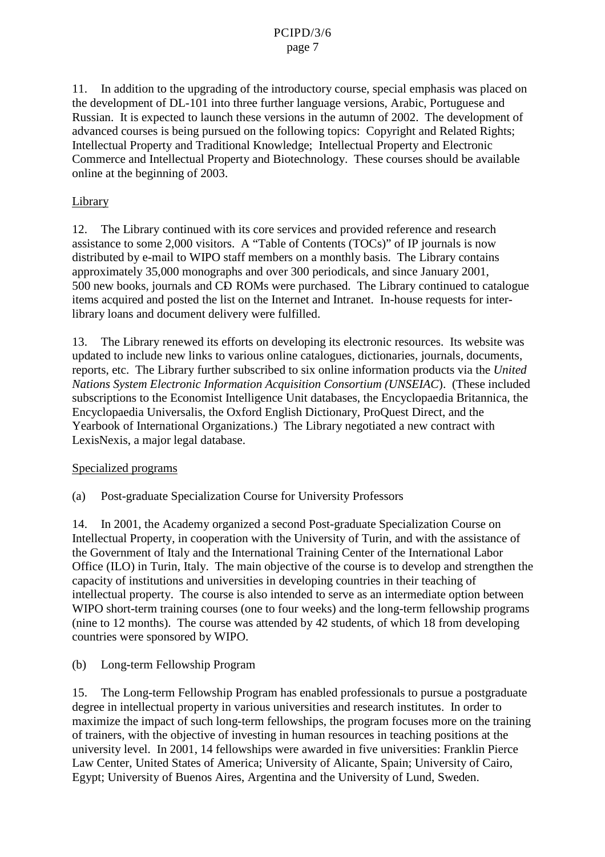### PCIPD/3/6 page 7

11. In addition to the upgrading of the introductory course, special emphasis was placed on the development of DL -101 into three further language versions, Arabic, Portuguese and Russian. It is expected to launch these versions in the autumn of 2002. The development of advanced courses is being pursued on the following topics: Copyright and Related Rights; Intellectual Property and Traditional Knowledge; Intellectual Property and Electronic Commerce and Intellectual P roperty and Biotechnology. These courses should be available online at the beginning of 2003.

# Library

12. The Library continued with its coreservices and provided reference and research assistance to some 2,000 visitors. A "Table of Contents" (TOCs)" of IP journals is now distributed by e-mail to WIPO staff members on a monthly basis. The Library contains approximately 35,000 monographs and over 300 periodicals, and since January 2001, 500 newbooks, journals and CD ROMs were purchased. The L ibrary continued to catalogue items acquired and posted the list on the Internet and Intranet. In -house requests for inter library loans and document delivery were fulfilled.

13. The Library renewed its efforts on developing its electronic resources our ress. Its we be sitewas updated to include new links to various online catalogues, dictionaries, journals, documents, reports, etc. The Library further subscribed to six online information products via the *United Nations System Electronic Information Acqui sition Consortium (UNSEIAC*). (These included subscriptions to the Economist Intelligence Unit databases, the Encyclopaedia Britannica, the Encyclopaedia Universalis, the Oxford English Dictionary, ProQuest Direct, and the Yearbook of International Organiz ations.) The Library negotiated anew contract with LexisNexis, a major legal database.

## Specialized programs

(a) Post-graduate Specialization Course for University Professors

14. In 2001, the Academy organized as econd Post -graduate Specializa tion Course on Intellectual Property, in cooperation with the University of Turin, and with the assistance of the Government of Italy and the International Training Center of the International Labor Office (ILO) in Turin, Italy. The main objective of the course is to develop and strengthen the capacity of institutions and universities indeveloping countries in their teaching of intellectual property. The course is also intended to serve as an intermediate option between WIPO short -term training courses ( one to four weeks) and the long -term fellowship programs (nine to 12 months). The course was attended by 42 students, of which 18 from developing countries were sponsored by WIPO.

(b) Long-term Fellowship Program

15. The Long-term Fellowship Pr ogram has enabled professionals to pursue a postgraduate degreeinintellectual property invarious universities and research institutes. In order to maximize the impact of such long -term fellowships, the program focuses more on the training of trainers, with the objective of investing in human resources inteaching positions at the university level. In 2001, 14 fellowships were awarded in five universities: Franklin Pierce Law Center, United States of America; University of Alicante, Spain; University of Cairo, Egypt; University of Buenos Aires, Argentina and the University of Lund, Sweden.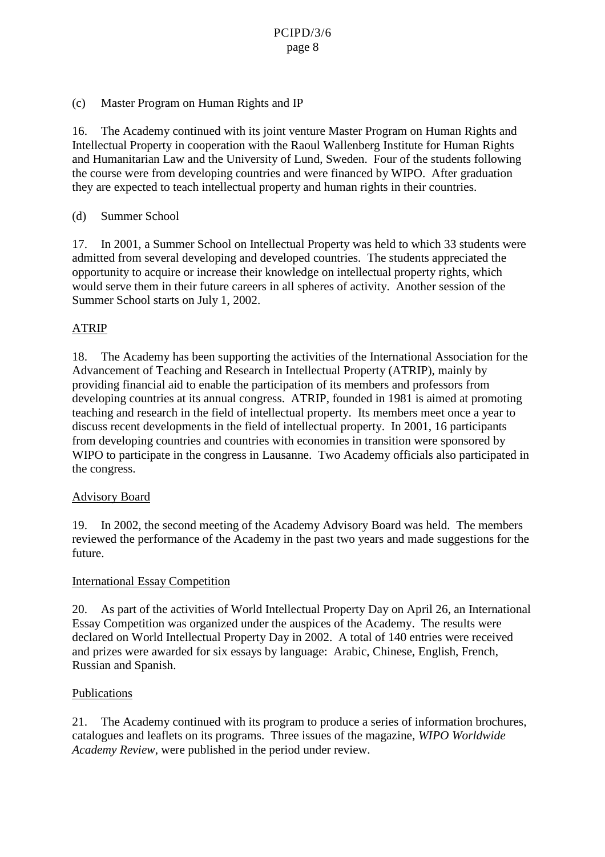# (c) Master Program on Human Rights and IP

16. The Academy continued with its joint venture Master Program on Human Rights and Intellectual Property incoope ration with the Raoul Wallenberg Institute for Human Rights and Humanitarian Law and the University of Lund, Sweden. Four of the students following the course were from developing countries and we refinanced by WIPO. After graduation they are expected to teach intellectual property and human rights in their countries.

## (d) Summer School

17. In 2001, a Summer School on Intellectual Property was held to which 33 students were admitted from several developing and developed countries. The students appreciated the opportunity to acquire or increase their knowledge on intellectual property rights, which would serve the min their future care ersinall spheres of activity. Another session of the Summer School starts on July 1, 2002.

# ATRIP

18. The Academy has been supporting the activities of the International Association for the Advancement of Teaching and Research in Intellectual Property (ATRIP), mainly by providing financial aid to enable the participation of its members and professors fr om developing countries at its annual congress. ATRIP, founded in 1981 is aimed at promoting teaching and research in the field of intellectual property. Its members meet once a year to discuss recent developments in the field of intellectual property. In 2001, 16 participants from developing countries and countries with economies in transition were sponsored by WIPO to participate in the congress in Lausanne. Two Academy of ficials also participated in the congress.

## Advisory Board

19. In 2002, the second meeting of the Academy Advisory Board was held. The members reviewed the performance of the Academy in the past two years and made suggestions for the future.

## **International Essay Competition**

20. Aspart of the activities of World I ntellectual Property Day on April 26, an International Essay Competition was organized under the auspices of the Academy. The results were declared on World Intellectual Property Day in 2002. A total of 140 entries were received and prizes were awarded f or six essays by language: Arabic, Chinese, English, French, Russian and Spanish.

## Publications

21. The Academy continued with its program to produce a series of information brochures, catalogues and leaflets on its programs. Three issues of the magazine, *WIPO Worldwide AcademyReview* , were published in the period underreview.